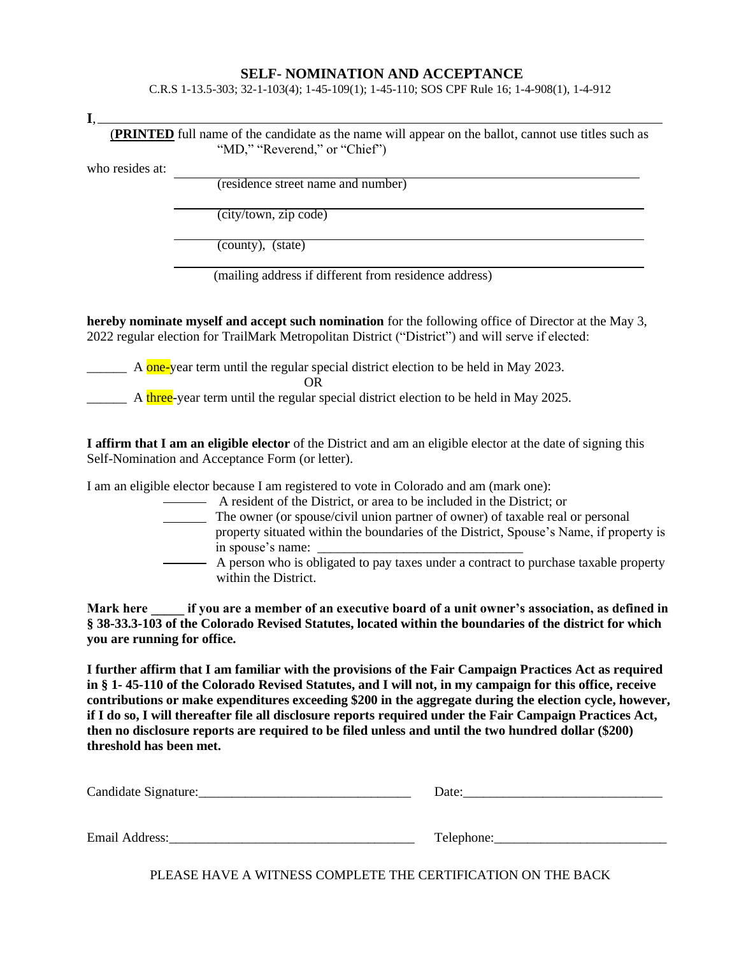## **SELF- NOMINATION AND ACCEPTANCE**

C.R.S 1-13.5-303; 32-1-103(4); 1-45-109(1); 1-45-110; SOS CPF Rule 16; 1-4-908(1), 1-4-912

**I**,

 (**PRINTED** full name of the candidate as the name will appear on the ballot, cannot use titles such as "MD," "Reverend," or "Chief")

who resides at:

(residence street name and number)

(city/town, zip code)

(county), (state)

(mailing address if different from residence address)

**hereby nominate myself and accept such nomination** for the following office of Director at the May 3, 2022 regular election for TrailMark Metropolitan District ("District") and will serve if elected:

 $\frac{1}{2}$  A one-year term until the regular special district election to be held in May 2023.

OR

 $\frac{1}{2}$  A three-year term until the regular special district election to be held in May 2025.

**I affirm that I am an eligible elector** of the District and am an eligible elector at the date of signing this Self-Nomination and Acceptance Form (or letter).

I am an eligible elector because I am registered to vote in Colorado and am (mark one):

- A resident of the District, or area to be included in the District; or
- The owner (or spouse/civil union partner of owner) of taxable real or personal property situated within the boundaries of the District, Spouse's Name, if property is in spouse's name:
- A person who is obligated to pay taxes under a contract to purchase taxable property within the District.

Mark here **if you are a member of an executive board of a unit owner's association, as defined in § 38-33.3-103 of the Colorado Revised Statutes, located within the boundaries of the district for which you are running for office.**

**I further affirm that I am familiar with the provisions of the Fair Campaign Practices Act as required in § 1- 45-110 of the Colorado Revised Statutes, and I will not, in my campaign for this office, receive contributions or make expenditures exceeding \$200 in the aggregate during the election cycle, however, if I do so, I will thereafter file all disclosure reports required under the Fair Campaign Practices Act, then no disclosure reports are required to be filed unless and until the two hundred dollar (\$200) threshold has been met.**

| Candidate Signature:  | Date:      |
|-----------------------|------------|
|                       |            |
|                       |            |
| <b>Email Address:</b> | Telephone: |

PLEASE HAVE A WITNESS COMPLETE THE CERTIFICATION ON THE BACK